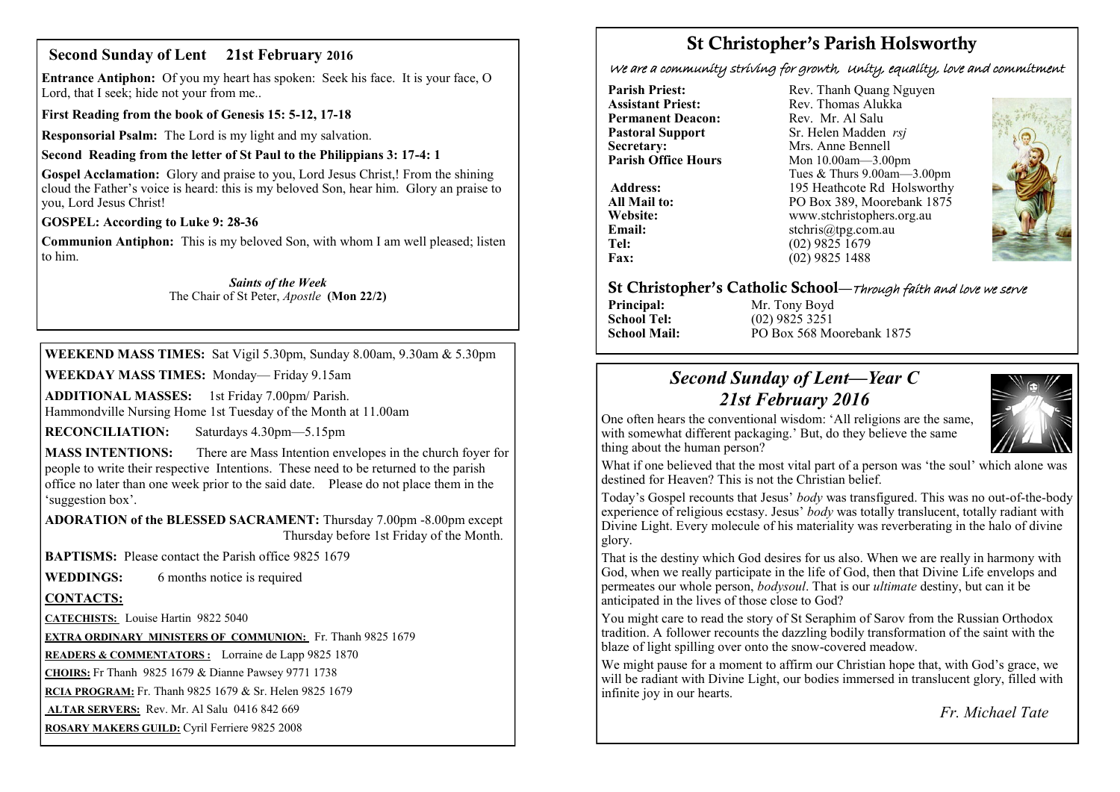### **Second Sunday of Lent 21st February 2016**

**Entrance Antiphon:** Of you my heart has spoken: Seek his face. It is your face, O Lord, that I seek; hide not your from me..

**First Reading from the book of Genesis 15: 5-12, 17-18**

**Responsorial Psalm:** The Lord is my light and my salvation.

#### **Second Reading from the letter of St Paul to the Philippians 3: 17-4: 1**

**Gospel Acclamation:** Glory and praise to you, Lord Jesus Christ,! From the shining cloud the Father's voice is heard: this is my beloved Son, hear him. Glory an praise to you, Lord Jesus Christ!

#### **GOSPEL: According to Luke 9: 28-36**

**Communion Antiphon:** This is my beloved Son, with whom I am well pleased; listen to him.

#### *Saints of the Week* The Chair of St Peter, *Apostle* **(Mon 22/2)**

**WEEKEND MASS TIMES:** Sat Vigil 5.30pm, Sunday 8.00am, 9.30am & 5.30pm

**WEEKDAY MASS TIMES:** Monday— Friday 9.15am

**ADDITIONAL MASSES:** 1st Friday 7.00pm/ Parish. Hammondville Nursing Home 1st Tuesday of the Month at 11.00am

**RECONCILIATION:** Saturdays 4.30pm—5.15pm

**MASS INTENTIONS:** There are Mass Intention envelopes in the church foyer for people to write their respective Intentions. These need to be returned to the parish office no later than one week prior to the said date. Please do not place them in the 'suggestion box'.

**ADORATION of the BLESSED SACRAMENT:** Thursday 7.00pm -8.00pm except Thursday before 1st Friday of the Month.

**BAPTISMS:** Please contact the Parish office 9825 1679

**WEDDINGS:** 6 months notice is required

#### **CONTACTS:**

**CATECHISTS:** Louise Hartin 9822 5040

**EXTRA ORDINARY MINISTERS OF COMMUNION:** Fr. Thanh 9825 1679

**READERS & COMMENTATORS :** Lorraine de Lapp 9825 1870

**CHOIRS:** Fr Thanh 9825 1679 & Dianne Pawsey 9771 1738

**RCIA PROGRAM:** Fr. Thanh 9825 1679 & Sr. Helen 9825 1679

**ALTAR SERVERS:** Rev. Mr. Al Salu 0416 842 669

**ROSARY MAKERS GUILD:** Cyril Ferriere 9825 2008

# **St Christopher's Parish Holsworthy**

We are a community striving for growth, Unity, equality, love and commitment

**Parish Priest:** Rev. Thanh Quang Nguyen<br> **Assistant Priest:** Rev. Thomas Alukka **Permanent Deacon:**<br>**Pastoral Support Secretary:** Mrs. Anne Bennell<br> **Parish Office Hours** Mon 10.00am - 3.00

Rev. Thomas Alukka<br>Rev. Mr. Al Salu **Pastoral Support** Sr. Helen Madden *rsj*<br>
Secretary: Mrs. Anne Bennell **Mon 10.00am—3.00pm** Tues & Thurs 9.00am—3.00pm Address: 195 Heathcote Rd Holsworthy **All Mail to:** PO Box 389, Moorebank 1875 **Website:** www.stchristophers.org.au<br> **Email:** stchris@tng.com au **Email:** stchris@tpg.com.au<br> **Tel:** (02) 9825 1679 **Tel:** (02) 9825 1679<br>**Fax:** (02) 9825 1488 **Fax:** (02) 9825 1488



#### **St Christopher's Catholic School—**Through faith and love we serve

**Principal:** Mr. Tony Boyd<br> **School Tel:** (02) 9825 3251

**School Tel:** (02) 9825 3251 **School Mail:** PO Box 568 Moorebank 1875

## *Second Sunday of Lent—Year C 21st February 2016*



One often hears the conventional wisdom: 'All religions are the same, with somewhat different packaging.' But, do they believe the same thing about the human person?

What if one believed that the most vital part of a person was 'the soul' which alone was destined for Heaven? This is not the Christian belief.

Today's Gospel recounts that Jesus' *body* was transfigured. This was no out-of-the-body experience of religious ecstasy. Jesus' *body* was totally translucent, totally radiant with Divine Light. Every molecule of his materiality was reverberating in the halo of divine glory.

That is the destiny which God desires for us also. When we are really in harmony with God, when we really participate in the life of God, then that Divine Life envelops and permeates our whole person, *bodysoul*. That is our *ultimate* destiny, but can it be anticipated in the lives of those close to God?

You might care to read the story of St Seraphim of Sarov from the Russian Orthodox tradition. A follower recounts the dazzling bodily transformation of the saint with the blaze of light spilling over onto the snow-covered meadow.

We might pause for a moment to affirm our Christian hope that, with God's grace, we will be radiant with Divine Light, our bodies immersed in translucent glory, filled with infinite joy in our hearts.

*Fr. Michael Tate*